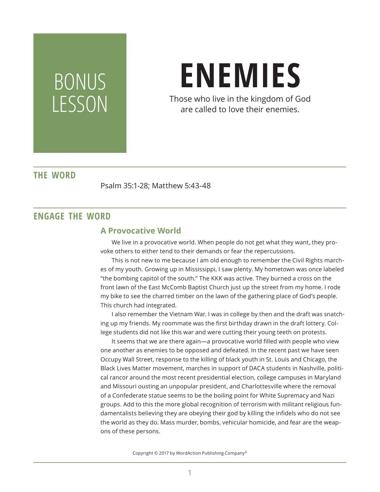# BONUS LESSON

# **ENEMIES**

Those who live in the kingdom of God are called to love their enemies.

## **THE WORD**

Psalm 35:1-28; Matthew 5:43-48

### **ENGAGE THE WORD**

#### **A Provocative World**

We live in a provocative world. When people do not get what they want, they provoke others to either tend to their demands or fear the repercussions.

This is not new to me because I am old enough to remember the Civil Rights marches of my youth. Growing up in Mississippi, I saw plenty. My hometown was once labeled "the bombing capitol of the south." The KKK was active. They burned a cross on the front lawn of the East McComb Baptist Church just up the street from my home. I rode my bike to see the charred timber on the lawn of the gathering place of God's people. This church had integrated.

I also remember the Vietnam War. I was in college by then and the draft was snatching up my friends. My roommate was the first birthday drawn in the draft lottery. College students did not like this war and were cutting their young teeth on protests.

It seems that we are there again—a provocative world filled with people who view one another as enemies to be opposed and defeated. In the recent past we have seen Occupy Wall Street, response to the killing of black youth in St. Louis and Chicago, the Black Lives Matter movement, marches in support of DACA students in Nashville, political rancor around the most recent presidential election, college campuses in Maryland and Missouri ousting an unpopular president, and Charlottesville where the removal of a Confederate statue seems to be the boiling point for White Supremacy and Nazi groups. Add to this the more global recognition of terrorism with militant religious fundamentalists believing they are obeying their god by killing the infidels who do not see the world as they do. Mass murder, bombs, vehicular homicide, and fear are the weapons of these persons.

Copyright © 2017 by WordAction Publishing Company®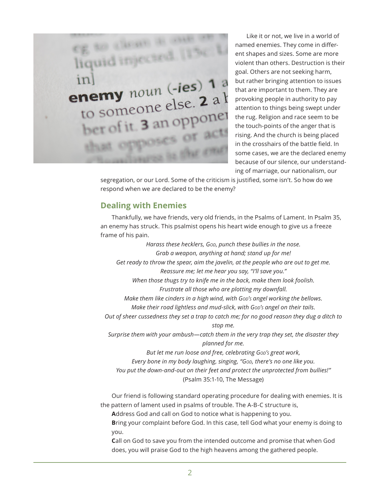

Like it or not, we live in a world of named enemies. They come in different shapes and sizes. Some are more violent than others. Destruction is their goal. Others are not seeking harm, but rather bringing attention to issues that are important to them. They are provoking people in authority to pay attention to things being swept under the rug. Religion and race seem to be the touch-points of the anger that is rising. And the church is being placed in the crosshairs of the battle field. In some cases, we are the declared enemy because of our silence, our understanding of marriage, our nationalism, our

segregation, or our Lord. Some of the criticism is justified, some isn't. So how do we respond when we are declared to be the enemy?

#### **Dealing with Enemies**

Thankfully, we have friends, very old friends, in the Psalms of Lament. In Psalm 35, an enemy has struck. This psalmist opens his heart wide enough to give us a freeze frame of his pain.

*Harass these hecklers, God*, *punch these bullies in the nose. Grab a weapon, anything at hand; stand up for me! Get ready to throw the spear, aim the javelin, at the people who are out to get me. Reassure me; let me hear you say, "I'll save you." When those thugs try to knife me in the back, make them look foolish. Frustrate all those who are plotting my downfall. Make them like cinders in a high wind, with Gop's angel working the bellows. Make their road lightless and mud-slick, with Gop's angel on their tails. Out of sheer cussedness they set a trap to catch me; for no good reason they dug a ditch to stop me. Surprise them with your ambush—catch them in the very trap they set, the disaster they planned for me. But let me run loose and free, celebrating God's great work, Every bone in my body laughing, singing, "God, there's no one like you. You put the down-and-out on their feet and protect the unprotected from bullies!"* (Psalm 35:1-10, The Message)

Our friend is following standard operating procedure for dealing with enemies. It is the pattern of lament used in psalms of trouble. The A-B-C structure is,

**A**ddress God and call on God to notice what is happening to you.

**B**ring your complaint before God. In this case, tell God what your enemy is doing to you.

**C**all on God to save you from the intended outcome and promise that when God does, you will praise God to the high heavens among the gathered people.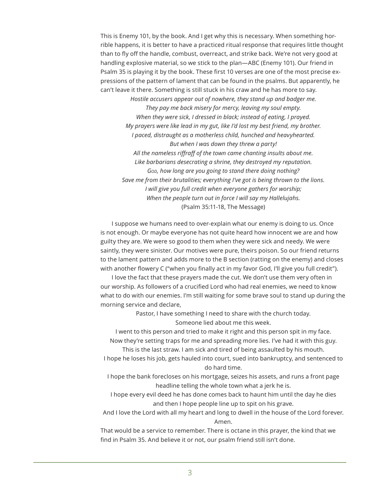This is Enemy 101, by the book. And I get why this is necessary. When something horrible happens, it is better to have a practiced ritual response that requires little thought than to fly off the handle, combust, overreact, and strike back. We're not very good at handling explosive material, so we stick to the plan—ABC (Enemy 101). Our friend in Psalm 35 is playing it by the book. These first 10 verses are one of the most precise expressions of the pattern of lament that can be found in the psalms. But apparently, he can't leave it there. Something is still stuck in his craw and he has more to say. *Hostile accusers appear out of nowhere, they stand up and badger me. They pay me back misery for mercy, leaving my soul empty. When they were sick, I dressed in black; instead of eating, I prayed. My prayers were like lead in my gut, like I'd lost my best friend, my brother. I paced, distraught as a motherless child, hunched and heavyhearted. But when I was down they threw a party! All the nameless riffraff of the town came chanting insults about me. Like barbarians desecrating a shrine, they destroyed my reputation. God, how long are you going to stand there doing nothing? Save me from their brutalities; everything I've got is being thrown to the lions. I will give you full credit when everyone gathers for worship; When the people turn out in force I will say my Hallelujahs.* (Psalm 35:11-18, The Message)

I suppose we humans need to over-explain what our enemy is doing to us. Once is not enough. Or maybe everyone has not quite heard how innocent we are and how guilty they are. We were so good to them when they were sick and needy. We were saintly, they were sinister. Our motives were pure, theirs poison. So our friend returns to the lament pattern and adds more to the B section (ratting on the enemy) and closes with another flowery C ("when you finally act in my favor God, I'll give you full credit").

I love the fact that these prayers made the cut. We don't use them very often in our worship. As followers of a crucified Lord who had real enemies, we need to know what to do with our enemies. I'm still waiting for some brave soul to stand up during the morning service and declare,

> Pastor, I have something I need to share with the church today. Someone lied about me this week.

I went to this person and tried to make it right and this person spit in my face. Now they're setting traps for me and spreading more lies. I've had it with this guy.

This is the last straw. I am sick and tired of being assaulted by his mouth.

I hope he loses his job, gets hauled into court, sued into bankruptcy, and sentenced to do hard time.

I hope the bank forecloses on his mortgage, seizes his assets, and runs a front page headline telling the whole town what a jerk he is.

I hope every evil deed he has done comes back to haunt him until the day he dies and then I hope people line up to spit on his grave.

And I love the Lord with all my heart and long to dwell in the house of the Lord forever. Amen.

That would be a service to remember. There is octane in this prayer, the kind that we find in Psalm 35. And believe it or not, our psalm friend still isn't done.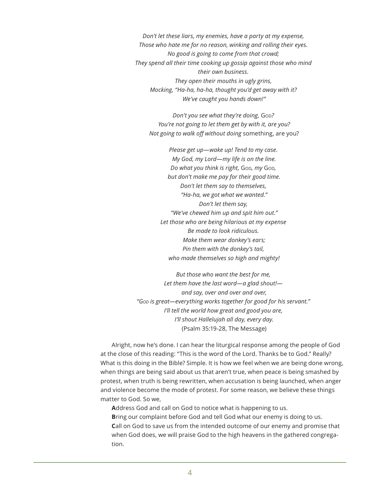*Don't let these liars, my enemies, have a party at my expense, Those who hate me for no reason, winking and rolling their eyes. No good is going to come from that crowd; They spend all their time cooking up gossip against those who mind their own business. They open their mouths in ugly grins, Mocking, "Ha-ha, ha-ha, thought you'd get away with it? We've caught you hands down!"*

*Don't you see what they're doing, God? You're not going to let them get by with it, are you? Not going to walk off without doing* something, are you?

*Please get up—wake up! Tend to my case. My God, my Lord—my life is on the line. Do what you think is right, God, my God, but don't make me pay for their good time. Don't let them say to themselves, "Ha-ha, we got what we wanted." Don't let them say, "We've chewed him up and spit him out." Let those who are being hilarious at my expense Be made to look ridiculous. Make them wear donkey's ears; Pin them with the donkey's tail, who made themselves so high and mighty!*

*But those who want the best for me, Let them have the last word—a glad shout! and say, over and over and over, "God is great—everything works together for good for his servant." I'll tell the world how great and good you are, I'll shout Hallelujah all day, every day.* (Psalm 35:19-28, The Message)

Alright, now he's done. I can hear the liturgical response among the people of God at the close of this reading: "This is the word of the Lord. Thanks be to God." Really? What is this doing in the Bible? Simple. It is how we feel when we are being done wrong, when things are being said about us that aren't true, when peace is being smashed by protest, when truth is being rewritten, when accusation is being launched, when anger and violence become the mode of protest. For some reason, we believe these things matter to God. So we,

**A**ddress God and call on God to notice what is happening to us. **B**ring our complaint before God and tell God what our enemy is doing to us. **C**all on God to save us from the intended outcome of our enemy and promise that when God does, we will praise God to the high heavens in the gathered congrega-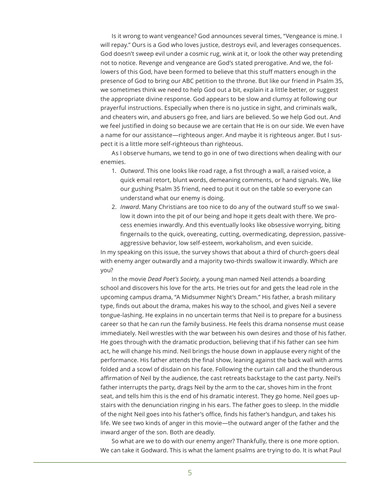Is it wrong to want vengeance? God announces several times, "Vengeance is mine. I will repay." Ours is a God who loves justice, destroys evil, and leverages consequences. God doesn't sweep evil under a cosmic rug, wink at it, or look the other way pretending not to notice. Revenge and vengeance are God's stated prerogative. And we, the followers of this God, have been formed to believe that this stuff matters enough in the presence of God to bring our ABC petition to the throne. But like our friend in Psalm 35, we sometimes think we need to help God out a bit, explain it a little better, or suggest the appropriate divine response. God appears to be slow and clumsy at following our prayerful instructions. Especially when there is no justice in sight, and criminals walk, and cheaters win, and abusers go free, and liars are believed. So we help God out. And we feel justified in doing so because we are certain that He is on our side. We even have a name for our assistance—righteous anger. And maybe it is righteous anger. But I suspect it is a little more self-righteous than righteous.

As I observe humans, we tend to go in one of two directions when dealing with our enemies.

- 1. *Outward.* This one looks like road rage, a fist through a wall, a raised voice, a quick email retort, blunt words, demeaning comments, or hand signals. We, like our gushing Psalm 35 friend, need to put it out on the table so everyone can understand what our enemy is doing.
- 2. *Inward*. Many Christians are too nice to do any of the outward stuff so we swallow it down into the pit of our being and hope it gets dealt with there. We process enemies inwardly. And this eventually looks like obsessive worrying, biting fingernails to the quick, overeating, cutting, overmedicating, depression, passiveaggressive behavior, low self-esteem, workaholism, and even suicide.

In my speaking on this issue, the survey shows that about a third of church-goers deal with enemy anger outwardly and a majority two-thirds swallow it inwardly. Which are you?

In the movie *Dead Poet's Society,* a young man named Neil attends a boarding school and discovers his love for the arts. He tries out for and gets the lead role in the upcoming campus drama, "A Midsummer Night's Dream." His father, a brash military type, finds out about the drama, makes his way to the school, and gives Neil a severe tongue-lashing. He explains in no uncertain terms that Neil is to prepare for a business career so that he can run the family business. He feels this drama nonsense must cease immediately. Neil wrestles with the war between his own desires and those of his father. He goes through with the dramatic production, believing that if his father can see him act, he will change his mind. Neil brings the house down in applause every night of the performance. His father attends the final show, leaning against the back wall with arms folded and a scowl of disdain on his face. Following the curtain call and the thunderous affirmation of Neil by the audience, the cast retreats backstage to the cast party. Neil's father interrupts the party, drags Neil by the arm to the car, shoves him in the front seat, and tells him this is the end of his dramatic interest. They go home. Neil goes upstairs with the denunciation ringing in his ears. The father goes to sleep. In the middle of the night Neil goes into his father's office, finds his father's handgun, and takes his life. We see two kinds of anger in this movie—the outward anger of the father and the inward anger of the son. Both are deadly.

So what are we to do with our enemy anger? Thankfully, there is one more option. We can take it Godward. This is what the lament psalms are trying to do. It is what Paul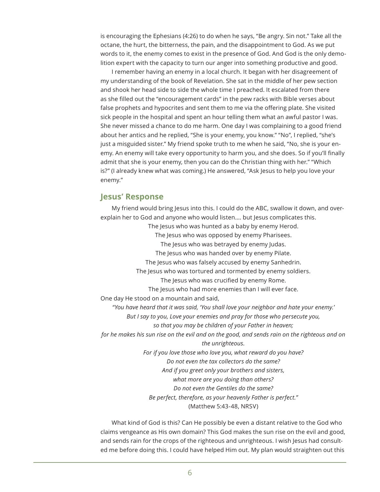is encouraging the Ephesians (4:26) to do when he says, "Be angry. Sin not." Take all the octane, the hurt, the bitterness, the pain, and the disappointment to God. As we put words to it, the enemy comes to exist in the presence of God. And God is the only demolition expert with the capacity to turn our anger into something productive and good.

I remember having an enemy in a local church. It began with her disagreement of my understanding of the book of Revelation. She sat in the middle of her pew section and shook her head side to side the whole time I preached. It escalated from there as she filled out the "encouragement cards" in the pew racks with Bible verses about false prophets and hypocrites and sent them to me via the offering plate. She visited sick people in the hospital and spent an hour telling them what an awful pastor I was. She never missed a chance to do me harm. One day I was complaining to a good friend about her antics and he replied, "She is your enemy, you know." "No", I replied, "she's just a misguided sister." My friend spoke truth to me when he said, "No, she is your enemy. An enemy will take every opportunity to harm you, and she does. So if you'll finally admit that she is your enemy, then you can do the Christian thing with her." "Which is?" (I already knew what was coming.) He answered, "Ask Jesus to help you love your enemy."

#### **Jesus' Response**

My friend would bring Jesus into this. I could do the ABC, swallow it down, and overexplain her to God and anyone who would listen…. but Jesus complicates this. The Jesus who was hunted as a baby by enemy Herod. The Jesus who was opposed by enemy Pharisees. The Jesus who was betrayed by enemy Judas. The Jesus who was handed over by enemy Pilate. The Jesus who was falsely accused by enemy Sanhedrin. The Jesus who was tortured and tormented by enemy soldiers. The Jesus who was crucified by enemy Rome. The Jesus who had more enemies than I will ever face. One day He stood on a mountain and said, *"You have heard that it was said, 'You shall love your neighbor and hate your enemy.' But I say to you, Love your enemies and pray for those who persecute you, so that you may be children of your Father in heaven; for he makes his sun rise on the evil and on the good, and sends rain on the righteous and on the unrighteous. For if you love those who love you, what reward do you have? Do not even the tax collectors do the same? And if you greet only your brothers and sisters, what more are you doing than others? Do not even the Gentiles do the same? Be perfect, therefore, as your heavenly Father is perfect."* (Matthew 5:43-48, NRSV)

What kind of God is this? Can He possibly be even a distant relative to the God who claims vengeance as His own domain? This God makes the sun rise on the evil and good, and sends rain for the crops of the righteous and unrighteous. I wish Jesus had consulted me before doing this. I could have helped Him out. My plan would straighten out this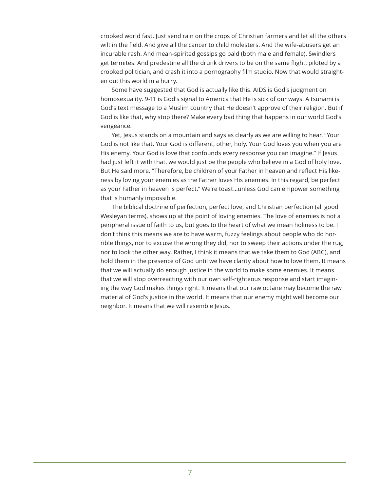crooked world fast. Just send rain on the crops of Christian farmers and let all the others wilt in the field. And give all the cancer to child molesters. And the wife-abusers get an incurable rash. And mean-spirited gossips go bald (both male and female). Swindlers get termites. And predestine all the drunk drivers to be on the same flight, piloted by a crooked politician, and crash it into a pornography film studio. Now that would straighten out this world in a hurry.

Some have suggested that God is actually like this. AIDS is God's judgment on homosexuality. 9-11 is God's signal to America that He is sick of our ways. A tsunami is God's text message to a Muslim country that He doesn't approve of their religion. But if God is like that, why stop there? Make every bad thing that happens in our world God's vengeance.

Yet, Jesus stands on a mountain and says as clearly as we are willing to hear, "Your God is not like that. Your God is different, other, holy. Your God loves you when you are His enemy. Your God is love that confounds every response you can imagine." If Jesus had just left it with that, we would just be the people who believe in a God of holy love. But He said more. "Therefore, be children of your Father in heaven and reflect His likeness by loving your enemies as the Father loves His enemies. In this regard, be perfect as your Father in heaven is perfect." We're toast…unless God can empower something that is humanly impossible.

The biblical doctrine of perfection, perfect love, and Christian perfection (all good Wesleyan terms), shows up at the point of loving enemies. The love of enemies is not a peripheral issue of faith to us, but goes to the heart of what we mean holiness to be. I don't think this means we are to have warm, fuzzy feelings about people who do horrible things, nor to excuse the wrong they did, nor to sweep their actions under the rug, nor to look the other way. Rather, I think it means that we take them to God (ABC), and hold them in the presence of God until we have clarity about how to love them. It means that we will actually do enough justice in the world to make some enemies. It means that we will stop overreacting with our own self-righteous response and start imagining the way God makes things right. It means that our raw octane may become the raw material of God's justice in the world. It means that our enemy might well become our neighbor. It means that we will resemble Jesus.